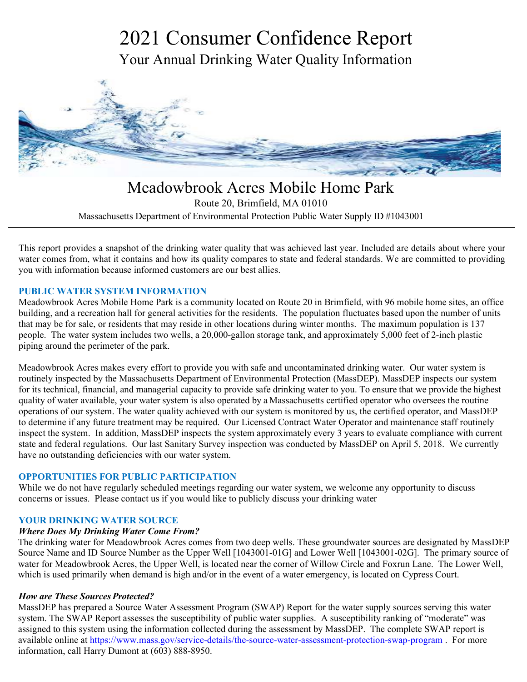# 2021 Consumer Confidence Report Your Annual Drinking Water Quality Information



Meadowbrook Acres Mobile Home Park Route 20, Brimfield, MA 01010 Massachusetts Department of Environmental Protection Public Water Supply ID #1043001

This report provides a snapshot of the drinking water quality that was achieved last year. Included are details about where your water comes from, what it contains and how its quality compares to state and federal standards. We are committed to providing you with information because informed customers are our best allies.

#### **PUBLIC WATER SYSTEM INFORMATION**

Meadowbrook Acres Mobile Home Park is a community located on Route 20 in Brimfield, with 96 mobile home sites, an office building, and a recreation hall for general activities for the residents. The population fluctuates based upon the number of units that may be for sale, or residents that may reside in other locations during winter months. The maximum population is 137 people. The water system includes two wells, a 20,000-gallon storage tank, and approximately 5,000 feet of 2-inch plastic piping around the perimeter of the park.

Meadowbrook Acres makes every effort to provide you with safe and uncontaminated drinking water. Our water system is routinely inspected by the Massachusetts Department of Environmental Protection (MassDEP). MassDEP inspects our system for its technical, financial, and managerial capacity to provide safe drinking water to you. To ensure that we provide the highest quality of water available, your water system is also operated by a Massachusetts certified operator who oversees the routine operations of our system. The water quality achieved with our system is monitored by us, the certified operator, and MassDEP to determine if any future treatment may be required. Our Licensed Contract Water Operator and maintenance staff routinely inspect the system. In addition, MassDEP inspects the system approximately every 3 years to evaluate compliance with current state and federal regulations. Our last Sanitary Survey inspection was conducted by MassDEP on April 5, 2018. We currently have no outstanding deficiencies with our water system.

#### **OPPORTUNITIES FOR PUBLIC PARTICIPATION**

While we do not have regularly scheduled meetings regarding our water system, we welcome any opportunity to discuss concerns or issues. Please contact us if you would like to publicly discuss your drinking water

#### **YOUR DRINKING WATER SOURCE**

#### *Where Does My Drinking Water Come From?*

The drinking water for Meadowbrook Acres comes from two deep wells. These groundwater sources are designated by MassDEP Source Name and ID Source Number as the Upper Well [1043001-01G] and Lower Well [1043001-02G]. The primary source of water for Meadowbrook Acres, the Upper Well, is located near the corner of Willow Circle and Foxrun Lane. The Lower Well, which is used primarily when demand is high and/or in the event of a water emergency, is located on Cypress Court.

#### *How are These Sources Protected?*

MassDEP has prepared a Source Water Assessment Program (SWAP) Report for the water supply sources serving this water system. The SWAP Report assesses the susceptibility of public water supplies. A susceptibility ranking of "moderate" was assigned to this system using the information collected during the assessment by MassDEP. The complete SWAP report is available online at https://www.mass.gov/service-details/the-source-water-assessment-protection-swap-program . For more information, call Harry Dumont at (603) 888-8950.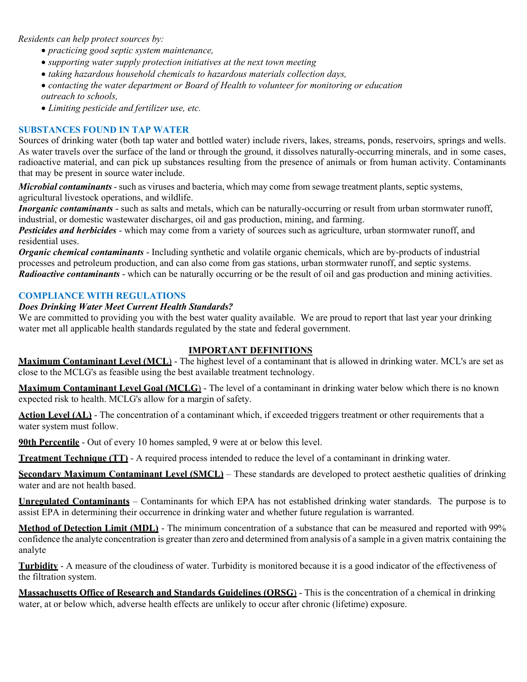*Residents can help protect sources by:* 

- *practicing good septic system maintenance,*
- *supporting water supply protection initiatives at the next town meeting*
- *taking hazardous household chemicals to hazardous materials collection days,*
- *contacting the water department or Board of Health to volunteer for monitoring or education outreach to schools,*
- *Limiting pesticide and fertilizer use, etc.*

#### **SUBSTANCES FOUND IN TAP WATER**

Sources of drinking water (both tap water and bottled water) include rivers, lakes, streams, ponds, reservoirs, springs and wells. As water travels over the surface of the land or through the ground, it dissolves naturally-occurring minerals, and in some cases, radioactive material, and can pick up substances resulting from the presence of animals or from human activity. Contaminants that may be present in source water include.

*Microbial contaminants* - such as viruses and bacteria, which may come from sewage treatment plants, septic systems, agricultural livestock operations, and wildlife.

*Inorganic contaminants* - such as salts and metals, which can be naturally-occurring or result from urban stormwater runoff, industrial, or domestic wastewater discharges, oil and gas production, mining, and farming.

*Pesticides and herbicides* - which may come from a variety of sources such as agriculture, urban stormwater runoff, and residential uses.

*Organic chemical contaminants* - Including synthetic and volatile organic chemicals, which are by-products of industrial processes and petroleum production, and can also come from gas stations, urban stormwater runoff, and septic systems. *Radioactive contaminants* - which can be naturally occurring or be the result of oil and gas production and mining activities.

#### **COMPLIANCE WITH REGULATIONS**

#### *Does Drinking Water Meet Current Health Standards?*

We are committed to providing you with the best water quality available. We are proud to report that last year your drinking water met all applicable health standards regulated by the state and federal government.

#### **IMPORTANT DEFINITIONS**

**Maximum Contaminant Level (MCL**) - The highest level of a contaminant that is allowed in drinking water. MCL's are set as close to the MCLG's as feasible using the best available treatment technology.

**Maximum Contaminant Level Goal (MCLG**) - The level of a contaminant in drinking water below which there is no known expected risk to health. MCLG's allow for a margin of safety.

**Action Level (AL)** - The concentration of a contaminant which, if exceeded triggers treatment or other requirements that a water system must follow.

**90th Percentile** - Out of every 10 homes sampled, 9 were at or below this level.

**Treatment Technique (TT)** - A required process intended to reduce the level of a contaminant in drinking water.

**Secondary Maximum Contaminant Level (SMCL)** – These standards are developed to protect aesthetic qualities of drinking water and are not health based.

**Unregulated Contaminants** – Contaminants for which EPA has not established drinking water standards. The purpose is to assist EPA in determining their occurrence in drinking water and whether future regulation is warranted.

**Method of Detection Limit (MDL)** - The minimum concentration of a substance that can be measured and reported with 99% confidence the analyte concentration is greater than zero and determined from analysis of a sample in a given matrix containing the analyte

**Turbidity** - A measure of the cloudiness of water. Turbidity is monitored because it is a good indicator of the effectiveness of the filtration system.

**Massachusetts Office of Research and Standards Guidelines (ORSG**) - This is the concentration of a chemical in drinking water, at or below which, adverse health effects are unlikely to occur after chronic (lifetime) exposure.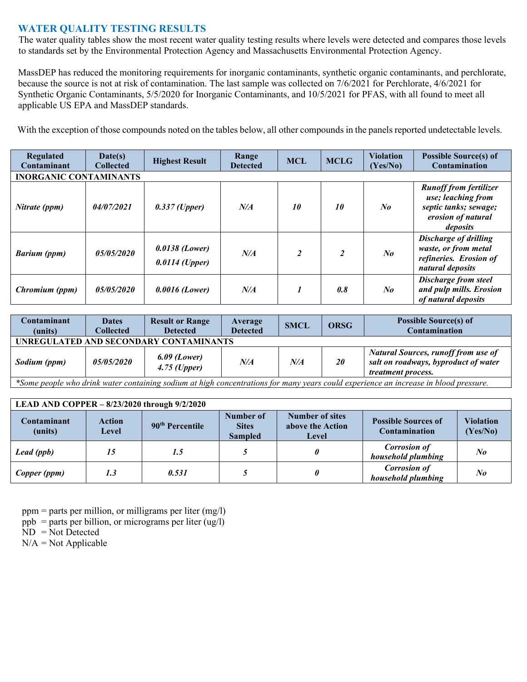## **WATER QUALITY TESTING RESULTS**

The water quality tables show the most recent water quality testing results where levels were detected and compares those levels to standards set by the Environmental Protection Agency and Massachusetts Environmental Protection Agency.

MassDEP has reduced the monitoring requirements for inorganic contaminants, synthetic organic contaminants, and perchlorate, because the source is not at risk of contamination. The last sample was collected on 7/6/2021 for Perchlorate, 4/6/2021 for Synthetic Organic Contaminants, 5/5/2020 for Inorganic Contaminants, and 10/5/2021 for PFAS, with all found to meet all applicable US EPA and MassDEP standards.

With the exception of those compounds noted on the tables below, all other compounds in the panels reported undetectable levels.

| <b>Regulated</b><br>Contaminant | Date(s)<br><b>Collected</b> | <b>Highest Result</b>                | Range<br><b>Detected</b> | <b>MCL</b>     | <b>MCLG</b>    | <b>Violation</b><br>(Yes/No) | <b>Possible Source(s) of</b><br>Contamination                                                                  |  |
|---------------------------------|-----------------------------|--------------------------------------|--------------------------|----------------|----------------|------------------------------|----------------------------------------------------------------------------------------------------------------|--|
| <b>INORGANIC CONTAMINANTS</b>   |                             |                                      |                          |                |                |                              |                                                                                                                |  |
| Nitrate (ppm)                   | 04/07/2021                  | $0.337$ (Upper)                      | N/A                      | 10             | 10             | $\mathbf{N}$ o               | <b>Runoff from fertilizer</b><br>use; leaching from<br>septic tanks; sewage;<br>erosion of natural<br>deposits |  |
| <b>Barium</b> (ppm)             | 05/05/2020                  | $0.0138$ (Lower)<br>$0.0114$ (Upper) | N/A                      | $\overline{c}$ | $\overline{c}$ | $N_{0}$                      | Discharge of drilling<br>waste, or from metal<br>refineries. Erosion of<br>natural deposits                    |  |
| Chromium (ppm)                  | <i>05/05/2020</i>           | $0.0016$ (Lower)                     | N/A                      |                | 0.8            | $N_{0}$                      | Discharge from steel<br>and pulp mills. Erosion<br>of natural deposits                                         |  |

| Contaminant<br>(units)                                                                                                             | <b>Dates</b><br>Collected | <b>Result or Range</b><br><b>Detected</b> | Average<br><b>Detected</b> | <b>SMCL</b> | <b>ORSG</b> | <b>Possible Source(s) of</b><br><b>Contamination</b>                                                            |  |
|------------------------------------------------------------------------------------------------------------------------------------|---------------------------|-------------------------------------------|----------------------------|-------------|-------------|-----------------------------------------------------------------------------------------------------------------|--|
| UNREGULATED AND SECONDARY CONTAMINANTS                                                                                             |                           |                                           |                            |             |             |                                                                                                                 |  |
| Sodium (ppm)                                                                                                                       | <i><b>05/05/2020</b></i>  | $6.09$ (Lower)<br>$4.75$ (Upper)          | N/A                        | N/A         | <b>20</b>   | <b>Natural Sources, runoff from use of</b><br>salt on roadways, byproduct of water<br><i>treatment process.</i> |  |
| Some neonle who drink water containing sodium at high concentrations for many years could experience an increase in hlood pressure |                           |                                           |                            |             |             |                                                                                                                 |  |

*\*Some people who drink water containing sodium at high concentrations for many years could experience an increase in blood pressure.*

#### **LEAD AND COPPER – 8/23/2020 through 9/2/2020**

| Contaminant<br>(units) | Action<br><b>Level</b> | 90 <sup>th</sup> Percentile | Number of<br><b>Sites</b><br><b>Sampled</b> | <b>Number of sites</b><br>above the Action<br>Level | <b>Possible Sources of</b><br><b>Contamination</b> | <b>Violation</b><br>(Yes/No) |  |  |
|------------------------|------------------------|-----------------------------|---------------------------------------------|-----------------------------------------------------|----------------------------------------------------|------------------------------|--|--|
| Lead (ppb)             |                        | 1.5                         |                                             |                                                     | <b>Corrosion of</b><br>household plumbing          | $N_{0}$                      |  |  |
| Copper (ppm)           | 1.3                    | 0.531                       |                                             |                                                     | <b>Corrosion of</b><br>household plumbing          | $N_{0}$                      |  |  |

 $ppm =$  parts per million, or milligrams per liter (mg/l)

ppb = parts per billion, or micrograms per liter  $(ug/l)$ 

 $ND = Not$  Detected

 $N/A = Not$  Applicable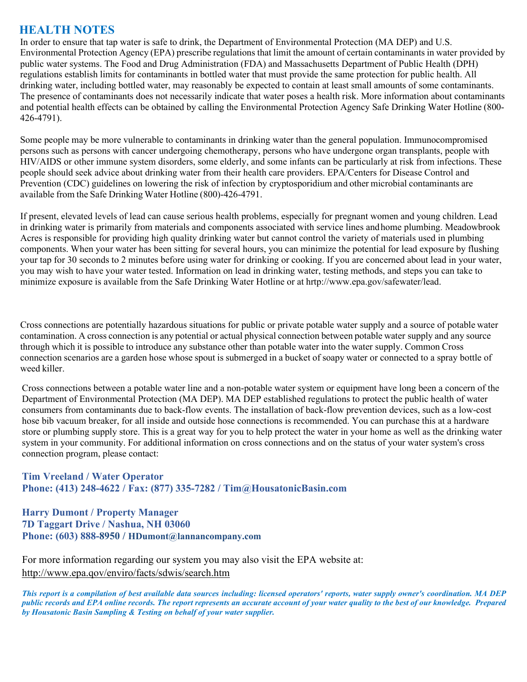# **HEALTH NOTES**

In order to ensure that tap water is safe to drink, the Department of Environmental Protection (MA DEP) and U.S. Environmental Protection Agency (EPA) prescribe regulations that limit the amount of certain contaminants in water provided by public water systems. The Food and Drug Administration (FDA) and Massachusetts Department of Public Health (DPH) regulations establish limits for contaminants in bottled water that must provide the same protection for public health. All drinking water, including bottled water, may reasonably be expected to contain at least small amounts of some contaminants. The presence of contaminants does not necessarily indicate that water poses a health risk. More information about contaminants and potential health effects can be obtained by calling the Environmental Protection Agency Safe Drinking Water Hotline (800- 426-4791).

Some people may be more vulnerable to contaminants in drinking water than the general population. Immunocompromised persons such as persons with cancer undergoing chemotherapy, persons who have undergone organ transplants, people with HIV/AIDS or other immune system disorders, some elderly, and some infants can be particularly at risk from infections. These people should seek advice about drinking water from their health care providers. EPA/Centers for Disease Control and Prevention (CDC) guidelines on lowering the risk of infection by cryptosporidium and other microbial contaminants are available from the Safe Drinking Water Hotline (800)-426-4791.

If present, elevated levels of lead can cause serious health problems, especially for pregnant women and young children. Lead in drinking water is primarily from materials and components associated with service lines and home plumbing. Meadowbrook Acres is responsible for providing high quality drinking water but cannot control the variety of materials used in plumbing components. When your water has been sitting for several hours, you can minimize the potential for lead exposure by flushing your tap for 30 seconds to 2 minutes before using water for drinking or cooking. If you are concerned about lead in your water, you may wish to have your water tested. Information on lead in drinking water, testing methods, and steps you can take to minimize exposure is available from the Safe Drinking Water Hotline or at hrtp://www.epa.gov/safewater/lead.

Cross connections are potentially hazardous situations for public or private potable water supply and a source of potable water contamination. A cross connection is any potential or actual physical connection between potable water supply and any source through which it is possible to introduce any substance other than potable water into the water supply. Common Cross connection scenarios are a garden hose whose spout is submerged in a bucket of soapy water or connected to a spray bottle of weed killer.

Cross connections between a potable water line and a non-potable water system or equipment have long been a concern of the Department of Environmental Protection (MA DEP). MA DEP established regulations to protect the public health of water consumers from contaminants due to back-flow events. The installation of back-flow prevention devices, such as a low-cost hose bib vacuum breaker, for all inside and outside hose connections is recommended. You can purchase this at a hardware store or plumbing supply store. This is a great way for you to help protect the water in your home as well as the drinking water system in your community. For additional information on cross connections and on the status of your water system's cross connection program, please contact:

**Tim Vreeland / Water Operator Phone: (413) 248-4622 / Fax: (877) 335-7282 / Tim@HousatonicBasin.com** 

## **Harry Dumont / Property Manager 7D Taggart Drive / Nashua, NH 03060 Phone: (603) 888-8950 / HDumont@lannancompany.com**

For more information regarding our system you may also visit the EPA website at: http://www.epa.qov/enviro/facts/sdwis/search.htm

*This report is a compilation of best available data sources including: licensed operators' reports, water supply owner's coordination. MA DEP public records and EPA online records. The report represents an accurate account of your water quality to the best of our knowledge. Prepared by Housatonic Basin Sampling & Testing on behalf of your water supplier.*